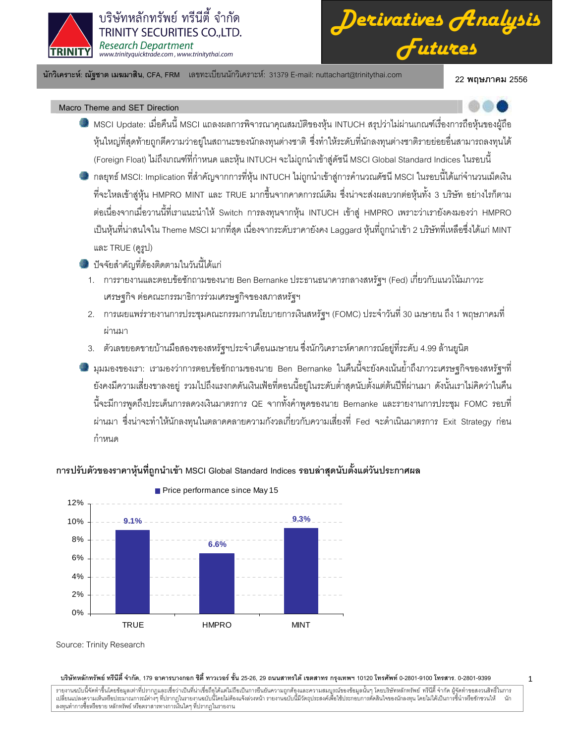

บริษัทหลักทรัพย์ ทรีนีตี้ จำกัด TRINITY SECURITIES CO., LTD. **Research Department** www.trinityquicktrade.com, www.trinitythai.com

นักวิเคราะห์: ณัฐชาต เมฆมาสิน, CFA, FRM เลขทะเบียนนักวิเคราะห์: 31379 E-mail: nuttachart@trinitythai.com

22 พฤษภาคม 2556

## Macro Theme and SET Direction

- MSCI Update: เมื่อคืนนี้ MSCI แถลงผลการพิจารณาคุณสมบัติของหุ้น INTUCH สรุปว่าไม่ผ่านเกณฑ์เรื่องการถือหุ้นของผู้ถือ หุ้นใหญ่ที่สุดท้ายถูกตีความว่าอยู่ในสถานะของนักลงทุนต่างชาติ ซึ่งทำให้ระดับที่นักลงทุนต่างชาติรายย่อยอื่นสามารถลงทุนได้ (Foreign Float) ไม่ถึงเกณฑ์ที่กำหนด และหุ้น INTUCH จะไม่ถูกนำเข้าสู่ดัชนี MSCI Global Standard Indices ในรอบนี้
- ่ กลยุทธ์ MSCI: Implication ที่สำคัญจากการที่หุ้น INTUCH ไม่ถูกนำเข้าสู่การคำนวณดัชนี MSCI ในรอบนี้ได้แก่จำนวนเม็ดเงิน ที่จะไหลเข้าสู่หุ้น HMPRO MINT และ TRUE มากขึ้นจากคาดการณ์เดิม ซึ่งน่าจะส่งผลบวกต่อหุ้นทั้ง 3 บริษัท อย่างไรก็ตาม ต่อเนื่องจากเมื่อวานนี้ที่เราแนะนำให้ Switch การลงทุนจากหุ้น INTUCH เข้าสู่ HMPRO เพราะว่าเรายังคงมองว่า HMPRO เป็นหุ้นที่น่าสนใจใน Theme MSCI มากที่สุด เนื่องจากระดับราคายังคง Laggard หุ้นที่ถูกนำเข้า 2 บริษัทที่เหลือซึ่งได้แก่ MINT และ TRUE (ดูรูป)
- ี ปีจจัยสำคัญที่ต้องติดตามในวันนี้ได้แก่
	- 1. การรายงานและตอบข้อซักถามของนาย Ben Bernanke ประธานธนาคารกลางสหรัฐฯ (Fed) เกี่ยวกับแนวโน้มภาวะ เศรษฐกิจ ต่อคณะกรรมาธิการร่วมเศรษฐกิจของสภาสหรัฐฯ
	- 2. การเผยแพร่รายงานการประชุมคณะกรรมการนโยบายการเงินสหรัฐฯ (FOMC) ประจำวันที่ 30 เมษายน ถึง 1 พฤษภาคมที่ ผ่านมา
	- 3. ตัวเลขยอดขายบ้านมือสองของสหรัฐฯประจำเดือนเมษายน ซึ่งนักวิเคราะห์คาดการณ์อยู่ที่ระดับ 4.99 ล้านยูนิต

ี่ใส่ มุมมองของเรา: เรามองว่าการตอบข้อซักถามของนาย Ben Bernanke ในคืนนี้จะยังคงเน้นย้ำถึงภาวะเศรษฐกิจของสหรัฐฯที่ ้ยังคงมีความเสี่ยงขาลงอยู่ รวมไปถึงแรงกดดันเงินเฟ้อที่ตอนนี้อยู่ในระดับต่ำสุดนับตั้งแต่ต้นปีที่ผ่านมา ดังนั้นเราไม่คิดว่าในคืน นี้จะมีการพูดถึงประเด็นการลดวงเงินมาตรการ QE จากทั้งคำพูดของนาย Bernanke และรายงานการประชุม FOMC รอบที่ ่ ผ่านมา ซึ่งน่าจะทำให้นักลงทุนในตลาดคลายความกังวลเกี่ยวกับความเสี่ยงที่ Fed จะดำเนินมาตรการ Exit Strategy ก่อน กำหนด



# ี การปรับตัวของราคาห้นที่ถูกนำเข้า MSCI Global Standard Indices รอบล่าสดนับตั้งแต่วันประกาศผล

บริษัทหลักทรัพย์ ทรีนีตี้ จำกัด, 179 อาคารบางกอก ซิตี้ ทาวเวอร์ ชั้น 25-26, 29 ถนนสาทรใต้ เขตสาทร กรุงเทพฯ 10120 โทรศัพท์ 0-2801-9100 โทรสาร. 0-2801-9399

รายงานฉบับนี้จัดทำขึ้นโดยข้อมูลเท่าที่ปรากฏและเชื่อว่าเป็นที่น่าเชื่อถือได้แต่ไม่ถือเป็นการยืนยังความสมบูรณ์ของข้อมูลนั้นๆ โดยบริษัทหลักทรัพย์ ทรีนีดี จำกัด ผู้จัดทำขอสงวนสิทธิ์ในการ<br>เปลี่ยนแปลงความเห็นหรือประมาณการณ์ต่าง

Source: Trinity Research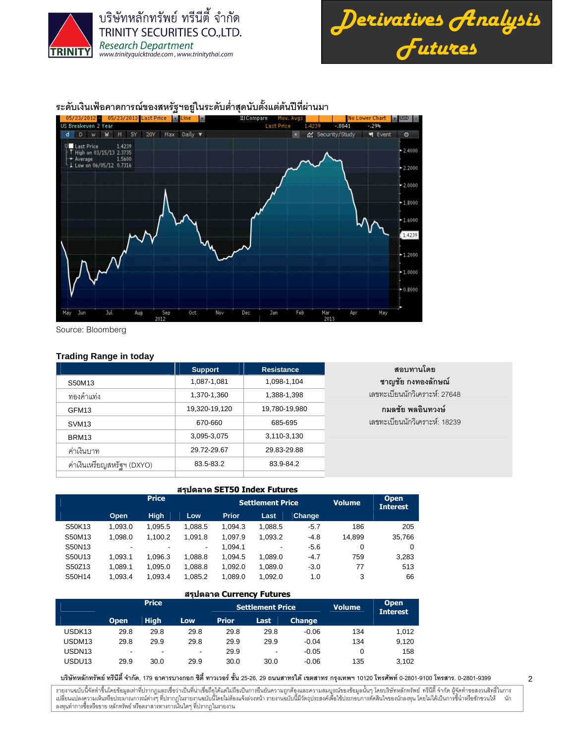



2

ระดับเงินเฟ้อคาดการณ์ของสหรัฐฯอยู่ในระดับต่ำสุดนับตั้งแต่ต้นปีที่ผ่านมา



Source: Bloomberg

## **Trading Range in today**

|                            | <b>Support</b> | <b>Resistance</b> | สอบทานโดย                      |
|----------------------------|----------------|-------------------|--------------------------------|
| S50M13                     | 1,087-1,081    | 1,098-1,104       | ชาญชัย กงทองลักษณ์             |
| ทองคำแท่ง                  | 1,370-1,360    | 1,388-1,398       | เลขทะเบียนนักวิเคราะห์: 27648  |
| GFM <sub>13</sub>          | 19,320-19,120  | 19,780-19,980     | ึกมลชัย พลอินทวงษ์             |
| SVM <sub>13</sub>          | 670-660        | 685-695           | ้เลขทะเบียนนักวิเคราะห์: 18239 |
| BRM13                      | 3,095-3,075    | 3,110-3,130       |                                |
| ค่าเงินบาท                 | 29.72-29.67    | 29.83-29.88       |                                |
| ค่าเงินเหรียญสหรัฐฯ (DXYO) | 83.5-83.2      | 83.9-84.2         |                                |
|                            |                |                   |                                |

|        | สรปตลาด SET50 Index Futures |              |                          |              |                         |        |        |                                |  |  |  |  |  |  |
|--------|-----------------------------|--------------|--------------------------|--------------|-------------------------|--------|--------|--------------------------------|--|--|--|--|--|--|
|        |                             | <b>Price</b> |                          |              | <b>Settlement Price</b> |        | Volume | <b>Open</b><br><b>Interest</b> |  |  |  |  |  |  |
|        | Open                        | <b>High</b>  | Low                      | <b>Prior</b> | Last                    | Change |        |                                |  |  |  |  |  |  |
| S50K13 | 1.093.0                     | 1.095.5      | 1.088.5                  | 1.094.3      | 1.088.5                 | $-5.7$ | 186    | 205                            |  |  |  |  |  |  |
| S50M13 | 1.098.0                     | 1,100.2      | 1,091.8                  | 1.097.9      | 1,093.2                 | $-4.8$ | 14.899 | 35,766                         |  |  |  |  |  |  |
| S50N13 | -                           |              | $\overline{\phantom{a}}$ | 1.094.1      | -                       | $-5.6$ | 0      | 0                              |  |  |  |  |  |  |
| S50U13 | 1.093.1                     | 1.096.3      | 1,088.8                  | 1,094.5      | 1.089.0                 | $-4.7$ | 759    | 3,283                          |  |  |  |  |  |  |
| S50Z13 | 1.089.1                     | 1.095.0      | 1,088.8                  | 1,092.0      | 1.089.0                 | $-3.0$ | 77     | 513                            |  |  |  |  |  |  |
| S50H14 | 1.093.4                     | 1.093.4      | 1,085.2                  | 1.089.0      | 1.092.0                 | 1.0    | 3      | 66                             |  |  |  |  |  |  |

|                    | สรปตลาด Currency Futures |                          |                          |              |                         |               |               |                                |  |  |  |  |  |  |  |
|--------------------|--------------------------|--------------------------|--------------------------|--------------|-------------------------|---------------|---------------|--------------------------------|--|--|--|--|--|--|--|
|                    |                          | <b>Price</b>             |                          |              | <b>Settlement Price</b> |               | <b>Volume</b> | <b>Open</b><br><b>Interest</b> |  |  |  |  |  |  |  |
|                    | <b>Open</b>              | <b>High</b>              | Low                      | <b>Prior</b> | Last                    | <b>Change</b> |               |                                |  |  |  |  |  |  |  |
| USDK <sub>13</sub> | 29.8                     | 29.8                     | 29.8                     | 29.8         | 29.8                    | $-0.06$       | 134           | 1.012                          |  |  |  |  |  |  |  |
| USDM <sub>13</sub> | 29.8                     | 29.9                     | 29.8                     | 29.9         | 29.9                    | $-0.04$       | 134           | 9.120                          |  |  |  |  |  |  |  |
| USDN <sub>13</sub> | $\overline{\phantom{a}}$ | $\overline{\phantom{0}}$ | $\overline{\phantom{a}}$ | 29.9         | -                       | $-0.05$       |               | 158                            |  |  |  |  |  |  |  |
| USDU <sub>13</sub> | 29.9                     | 30.0                     | 29.9                     | 30.0         | 30.0                    | $-0.06$       | 135           | 3.102                          |  |  |  |  |  |  |  |

บริษัทหลักทรัพย์ ทรีนีตี้ จำกัด, 179 อาคารบางกอก ซิตี้ ทาวเวอร์ ชั้น 25-26, 29 ถนนสาทรได้ เขตสาร กรุงเทพฯ 10120 โทรศัพท์ 0-2801-9399 คำสาร. 0-2801-9399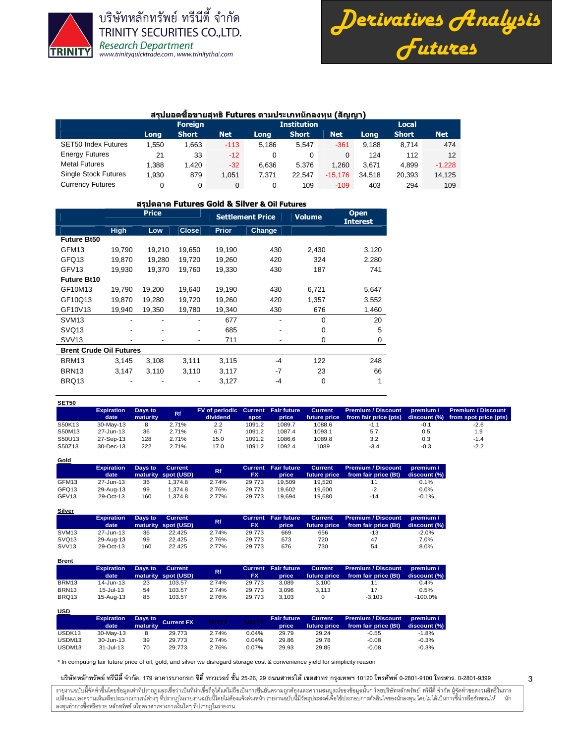

**Gold**

**USD**

บริษัทหลักทรัพย์ ทรีนีตี้ จำกัด **TRINITY SECURITIES CO., LTD. Research Department** www.trinityquicktrade.com, www.trinitythai.com



3

### สรุปยอดซื้อขายสุทธิFutures ตามประเภทนักลงทุน (สัญญา)

|                             |       | <b>Foreign</b> |            |       | <b>Institution</b> |            | Local  |              |            |  |
|-----------------------------|-------|----------------|------------|-------|--------------------|------------|--------|--------------|------------|--|
|                             | Long  | <b>Short</b>   | <b>Net</b> | Long  | <b>Short</b>       | <b>Net</b> | Long   | <b>Short</b> | <b>Net</b> |  |
| <b>SET50 Index Futures</b>  | .550  | .663           | $-113$     | 5.186 | 5.547              | $-361$     | 9.188  | 8.714        | 474        |  |
| <b>Energy Futures</b>       | 21    | 33             | $-12$      |       |                    |            | 124    | 112          | 12         |  |
| <b>Metal Futures</b>        | 1.388 | 1.420          | $-32$      | 6.636 | 5.376              | 1.260      | 3.671  | 4.899        | $-1.228$   |  |
| <b>Single Stock Futures</b> | 1.930 | 879            | 1.051      | 7.371 | 22.547             | $-15.176$  | 34.518 | 20.393       | 14.125     |  |
| <b>Currency Futures</b>     |       | 0              | 0          |       | 109                | $-109$     | 403    | 294          | 109        |  |

#### สรุปตลาด Futures Gold & Silver & Oil Futures

|                                |             | <b>Price</b> |              | <b>Settlement Price</b> |        | <b>Volume</b> | <b>Open</b><br><b>Interest</b> |
|--------------------------------|-------------|--------------|--------------|-------------------------|--------|---------------|--------------------------------|
|                                | <b>High</b> | Low          | <b>Close</b> | <b>Prior</b>            | Change |               |                                |
| <b>Future Bt50</b>             |             |              |              |                         |        |               |                                |
| GFM <sub>13</sub>              | 19.790      | 19,210       | 19,650       | 19,190                  | 430    | 2,430         | 3,120                          |
| GFQ13                          | 19,870      | 19,280       | 19,720       | 19,260                  | 420    | 324           | 2,280                          |
| GFV <sub>13</sub>              | 19,930      | 19,370       | 19,760       | 19,330                  | 430    | 187           | 741                            |
| <b>Future Bt10</b>             |             |              |              |                         |        |               |                                |
| GF10M13                        | 19,790      | 19,200       | 19,640       | 19,190                  | 430    | 6,721         | 5,647                          |
| GF10Q13                        | 19.870      | 19,280       | 19,720       | 19,260                  | 420    | 1,357         | 3,552                          |
| GF10V13                        | 19,940      | 19,350       | 19,780       | 19,340                  | 430    | 676           | 1,460                          |
| SVM <sub>13</sub>              |             |              |              | 677                     |        | $\Omega$      | 20                             |
| SVQ <sub>13</sub>              | ٠           | ٠            | ۰            | 685                     |        | $\mathbf 0$   | 5                              |
| <b>SVV13</b>                   |             |              | ۰            | 711                     |        | $\mathbf 0$   | 0                              |
| <b>Brent Crude Oil Futures</b> |             |              |              |                         |        |               |                                |
| BRM13                          | 3,145       | 3,108        | 3,111        | 3,115                   | $-4$   | 122           | 248                            |
| BRN <sub>13</sub>              | 3,147       | 3,110        | 3,110        | 3,117                   | -7     | 23            | 66                             |
| BRQ13                          |             |              |              | 3,127                   | -4     | $\mathbf 0$   | 1                              |
|                                |             |              |              |                         |        |               |                                |

| SET50  |                           |                     |           |                                                |        |        |                                |                                             |           |                                                                 |
|--------|---------------------------|---------------------|-----------|------------------------------------------------|--------|--------|--------------------------------|---------------------------------------------|-----------|-----------------------------------------------------------------|
|        | <b>Expiration</b><br>date | Days to<br>maturity | <b>Rf</b> | FV of periodic Current Fair future<br>dividend | spot   | price  | <b>Current</b><br>future price | Premium / Discount<br>from fair price (pts) | premium / | <b>Premium / Discount</b><br>discount (%) from spot price (pts) |
| S50K13 | 30-May-13                 | 8                   | 2.71%     | 2.2                                            | 1091.2 | 1089.7 | 1088.6                         | $-1.1$                                      | $-0.1$    | $-2.6$                                                          |
| S50M13 | 27-Jun-13                 | 36                  | 2.71%     | 6.7                                            | 1091.2 | 1087.4 | 1093.1                         | 5.7                                         | 0.5       | 1.9                                                             |
| S50U13 | 27-Sep-13                 | 128                 | 2.71%     | 15.0                                           | 1091.2 | 1086.6 | 1089.8                         | 3.2                                         | 0.3       | $-1.4$                                                          |
| S50Z13 | $30 - Dec - 13$           | 222                 | 2.71%     | 17.0                                           | 1091.2 | 1092.4 | 1089                           | $-3.4$                                      | $-0.3$    | $-2.2$                                                          |

|       | <b>Expiration</b><br>date | Days to | <b>Current</b><br>maturity spot (USD) | Rf    | FX     | Current Fair future<br>price | <b>Current</b><br>future price | <b>Premium / Discount</b><br>from fair price (Bt) | premium /<br>discount (%) |
|-------|---------------------------|---------|---------------------------------------|-------|--------|------------------------------|--------------------------------|---------------------------------------------------|---------------------------|
| GFM13 | 27-Jun-13                 | 36      | 1.374.8                               | 2.74% | 29.773 | 19.509                       | 19.520                         |                                                   | 0.1%                      |
| GFQ13 | 29-Aug-13                 | 99      | 1.374.8                               | 2.76% | 29.773 | 19.602                       | 19.600                         | $-2$                                              | 0.0%                      |
| GFV13 | 29-Oct-13                 | 160     | 1.374.8                               | 2.77% | 29.773 | 19.694                       | 19.680                         | $-14$                                             | $-0.1%$                   |

| <b>Silver</b>     |                   |         |                     |       |           |                            |                |                           |              |
|-------------------|-------------------|---------|---------------------|-------|-----------|----------------------------|----------------|---------------------------|--------------|
|                   | <b>Expiration</b> | Days to | Current             | Rf.   |           | <b>Current</b> Fair future | <b>Current</b> | <b>Premium / Discount</b> | premium /    |
|                   | date              |         | maturity spot (USD) |       | <b>FX</b> | price                      | future price   | from fair price (Bt)      | discount (%) |
| SVM <sub>13</sub> | 27-Jun-13         | 36      | 22.425              | 2.74% | 29.773    | 669                        | 656            | $-13$                     | $-2.0\%$     |
| SVQ <sub>13</sub> | 29-Aug-13         | 99      | 22.425              | 2.76% | 29.773    | 673                        | 720            | 47                        | 7.0%         |
| <b>SVV13</b>      | 29-Oct-13         | 160     | 22.425              | 2.77% | 29.773    | 676                        | 730            | 54                        | 8.0%         |

| <b>Brent</b>      |                           |         |                                |           |           |                                     |                         |                                                   |                           |
|-------------------|---------------------------|---------|--------------------------------|-----------|-----------|-------------------------------------|-------------------------|---------------------------------------------------|---------------------------|
|                   | <b>Expiration</b><br>date | Days to | Current<br>maturity spot (USD) | <b>Rf</b> | <b>FX</b> | <b>Current</b> Fair future<br>price | Current<br>future price | <b>Premium / Discount</b><br>from fair price (Bt) | premium /<br>discount (%) |
| BRM13             | 14-Jun-13                 | 23      | 103.57                         | 2.74%     | 29.773    | 3.089                               | 3.100                   |                                                   | 0.4%                      |
| BRN <sub>13</sub> | $15 -$ Jul-13             | 54      | 103.57                         | 2.74%     | 29.773    | 3.096                               | 3.113                   | 17                                                | 0.5%                      |
| BRQ13             | 15-Aug-13                 | 85      | 103.57                         | 2.76%     | 29.773    | 3.103                               |                         | $-3.103$                                          | $-100.0\%$                |

| ---                |                           |          |                    |              |       |                             |                                |                                                   |                             |
|--------------------|---------------------------|----------|--------------------|--------------|-------|-----------------------------|--------------------------------|---------------------------------------------------|-----------------------------|
|                    | <b>Expiration</b><br>date | maturity | Days to Current FX | <b>TH1YY</b> | US1YY | <b>Fair future</b><br>price | <b>Current</b><br>future price | <b>Premium / Discount</b><br>from fair price (Bt) | . premium /<br>discount (%) |
| USDK <sub>13</sub> | 30-May-13                 |          | 29.773             | 2.74%        | 0.04% | 29.79                       | 29.24                          | -0.55                                             | $-1.8%$                     |
| USDM13             | 30-Jun-13                 | 39       | 29.773             | 2.74%        | 0.04% | 29.86                       | 29.78                          | $-0.08$                                           | $-0.3%$                     |
| USDM <sub>13</sub> | $31 -$ Jul-13             | 70       | 29.773             | 2.76%        | 0.07% | 29.93                       | 29.85                          | $-0.08$                                           | $-0.3%$                     |

\* In computing fair future price of oil, gold, and silver we disregard storage cost & convenience yield for simplicity reason

บริษัทหลักทรัพย์ ทรีนีตี้ จำกัด, 179 อาคารบางกอก ซิตี้ ทาวเวอร์ ชั้น 25-26, 29 ถนนสาทรได้ เขตสาร กรุงเทพฯ 10120 โทรศัพท์ 0-2801-9399 คำสาร. 0-2801-9399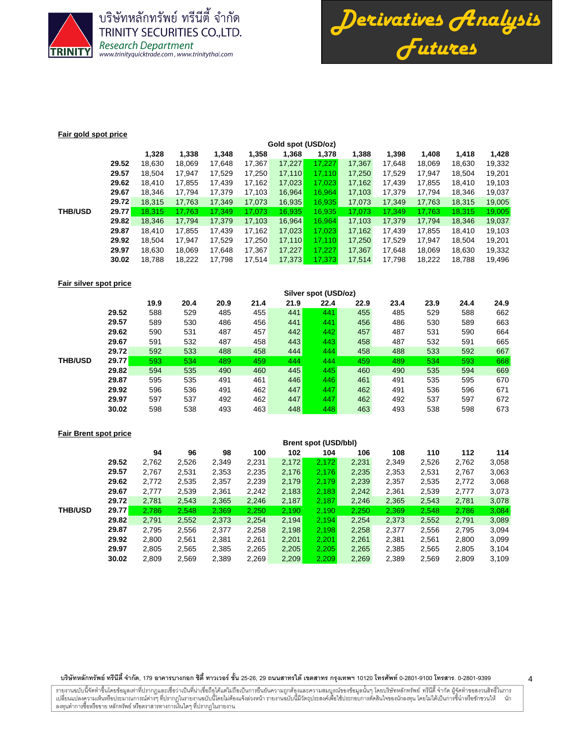

บริษัทหลักทรัพย์ ทรีนีตี้ จำกัด **TRINITY SECURITIES CO., LTD.** Research Department<br>www.trinityquicktrade.com, www.trinitythai.com



#### **Fair gold spot price**

|                |       | Gold spot (USD/oz) |        |        |        |        |        |        |        |        |        |        |  |  |
|----------------|-------|--------------------|--------|--------|--------|--------|--------|--------|--------|--------|--------|--------|--|--|
|                |       | 1,328              | 1,338  | 1,348  | 1,358  | 1,368  | 1,378  | 1,388  | 1,398  | 1,408  | 1,418  | 1,428  |  |  |
|                | 29.52 | 18,630             | 18,069 | 17.648 | 17,367 | 17,227 | 17.227 | 17,367 | 17.648 | 18,069 | 18,630 | 19,332 |  |  |
|                | 29.57 | 18,504             | 17.947 | 17,529 | 17,250 | 17,110 | 17.110 | 17,250 | 17,529 | 17,947 | 18,504 | 19,201 |  |  |
|                | 29.62 | 18.410             | 17,855 | 17,439 | 17,162 | 17,023 | 17,023 | 17,162 | 17,439 | 17,855 | 18,410 | 19,103 |  |  |
|                | 29.67 | 18.346             | 17.794 | 17,379 | 17,103 | 16,964 | 16.964 | 17,103 | 17,379 | 17,794 | 18,346 | 19,037 |  |  |
|                | 29.72 | 18,315             | 17,763 | 17,349 | 17,073 | 16,935 | 16,935 | 17,073 | 17,349 | 17,763 | 18,315 | 19,005 |  |  |
| <b>THB/USD</b> | 29.77 | 18.315             | 17,763 | 17,349 | 17,073 | 16,935 | 16,935 | 17,073 | 17,349 | 17,763 | 18,315 | 19,005 |  |  |
|                | 29.82 | 18,346             | 17,794 | 17,379 | 17,103 | 16,964 | 16,964 | 17,103 | 17,379 | 17,794 | 18,346 | 19,037 |  |  |
|                | 29.87 | 18.410             | 17.855 | 17.439 | 17,162 | 17,023 | 17.023 | 17.162 | 17.439 | 17,855 | 18.410 | 19,103 |  |  |
|                | 29.92 | 18.504             | 17.947 | 17.529 | 17.250 | 17,110 | 17.110 | 17.250 | 17.529 | 17.947 | 18.504 | 19,201 |  |  |
|                | 29.97 | 18.630             | 18.069 | 17.648 | 17,367 | 17,227 | 17.227 | 17.367 | 17.648 | 18,069 | 18.630 | 19,332 |  |  |
|                | 30.02 | 18,788             | 18,222 | 17,798 | 17,514 | 17,373 | 17,373 | 17,514 | 17,798 | 18,222 | 18,788 | 19,496 |  |  |
|                |       |                    |        |        |        |        |        |        |        |        |        |        |  |  |

## **Fair silver spot price**

|                |              | Silver spot (USD/oz) |      |      |      |      |      |      |      |      |      |      |  |  |
|----------------|--------------|----------------------|------|------|------|------|------|------|------|------|------|------|--|--|
|                |              | 19.9                 | 20.4 | 20.9 | 21.4 | 21.9 | 22.4 | 22.9 | 23.4 | 23.9 | 24.4 | 24.9 |  |  |
|                | 29.52        | 588                  | 529  | 485  | 455  | 441  | 441  | 455  | 485  | 529  | 588  | 662  |  |  |
|                | 29.57        | 589                  | 530  | 486  | 456  | 441  | 441  | 456  | 486  | 530  | 589  | 663  |  |  |
|                | 29.62        | 590                  | 531  | 487  | 457  | 442  | 442  | 457  | 487  | 531  | 590  | 664  |  |  |
|                | 29.67        | 591                  | 532  | 487  | 458  | 443  | 443  | 458  | 487  | 532  | 591  | 665  |  |  |
|                | 29.72        | 592                  | 533  | 488  | 458  | 444  | 444  | 458  | 488  | 533  | 592  | 667  |  |  |
| <b>THB/USD</b> | <b>29.77</b> | 593                  | 534  | 489  | 459  | 444  | 444  | 459  | 489  | 534  | 593  | 668  |  |  |
|                | 29.82        | 594                  | 535  | 490  | 460  | 445  | 445  | 460  | 490  | 535  | 594  | 669  |  |  |
|                | 29.87        | 595                  | 535  | 491  | 461  | 446  | 446  | 461  | 491  | 535  | 595  | 670  |  |  |
|                | 29.92        | 596                  | 536  | 491  | 462  | 447  | 447  | 462  | 491  | 536  | 596  | 671  |  |  |
|                | 29.97        | 597                  | 537  | 492  | 462  | 447  | 447  | 462  | 492  | 537  | 597  | 672  |  |  |
|                | 30.02        | 598                  | 538  | 493  | 463  | 448  | 448  | 463  | 493  | 538  | 598  | 673  |  |  |

## **Fair Brent spot price**

|                |       | Brent spot (USD/bbl) |       |       |       |       |       |       |       |       |       |       |
|----------------|-------|----------------------|-------|-------|-------|-------|-------|-------|-------|-------|-------|-------|
|                |       | 94                   | 96    | 98    | 100   | 102   | 104   | 106   | 108   | 110   | 112   | 114   |
|                | 29.52 | 2,762                | 2,526 | 2,349 | 2,231 | 2,172 | 2,172 | 2,231 | 2,349 | 2,526 | 2,762 | 3,058 |
|                | 29.57 | 2.767                | 2,531 | 2,353 | 2,235 | 2,176 | 2,176 | 2,235 | 2,353 | 2,531 | 2,767 | 3,063 |
|                | 29.62 | 2,772                | 2,535 | 2,357 | 2,239 | 2,179 | 2,179 | 2,239 | 2,357 | 2,535 | 2,772 | 3,068 |
|                | 29.67 | 2.777                | 2,539 | 2,361 | 2,242 | 2,183 | 2,183 | 2,242 | 2,361 | 2,539 | 2,777 | 3,073 |
|                | 29.72 | 2.781                | 2,543 | 2,365 | 2,246 | 2,187 | 2,187 | 2,246 | 2,365 | 2,543 | 2,781 | 3,078 |
| <b>THB/USD</b> | 29.77 | 2.786                | 2.548 | 2,369 | 2,250 | 2.190 | 2,190 | 2.250 | 2.369 | 2,548 | 2.786 | 3,084 |
|                | 29.82 | 2,791                | 2,552 | 2,373 | 2,254 | 2,194 | 2,194 | 2,254 | 2,373 | 2,552 | 2,791 | 3,089 |
|                | 29.87 | 2,795                | 2,556 | 2,377 | 2,258 | 2,198 | 2,198 | 2,258 | 2.377 | 2,556 | 2,795 | 3,094 |
|                | 29.92 | 2,800                | 2,561 | 2,381 | 2,261 | 2,201 | 2.201 | 2,261 | 2,381 | 2,561 | 2,800 | 3,099 |
|                | 29.97 | 2,805                | 2,565 | 2,385 | 2,265 | 2,205 | 2.205 | 2,265 | 2,385 | 2,565 | 2,805 | 3,104 |
|                | 30.02 | 2,809                | 2,569 | 2,389 | 2,269 | 2,209 | 2.209 | 2,269 | 2,389 | 2,569 | 2,809 | 3,109 |

#### บริษัทหลักทรัพย์ ทรีนีตี้ จำกัด, 179 อาคารบางกอก ซิตี้ ทาวเวอร์ ชั้น 25-26, 29 ถนนสาทรได้ เขตสาร กรุงเทพฯ 10120 โทรศัพท์ 0-2801-9399 คำสาร. 0-2801-9399